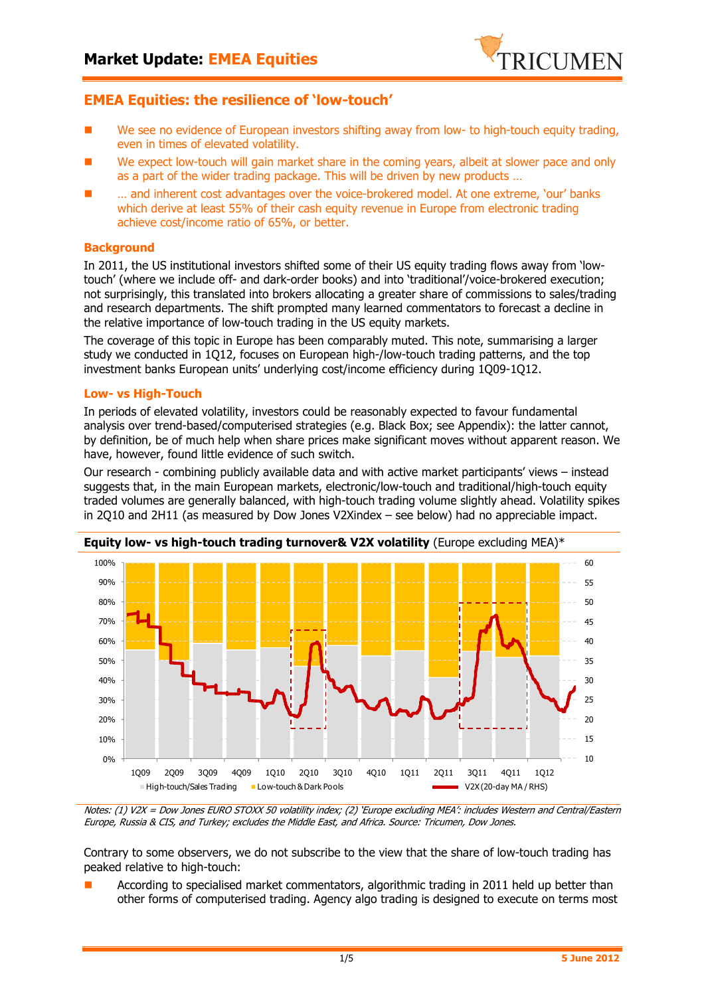

# **EMEA Equities: the resilience of 'low-touch'**

- We see no evidence of European investors shifting away from low- to high-touch equity trading, even in times of elevated volatility.
- We expect low-touch will gain market share in the coming years, albeit at slower pace and only as a part of the wider trading package. This will be driven by new products …
- … and inherent cost advantages over the voice-brokered model. At one extreme, 'our' banks which derive at least 55% of their cash equity revenue in Europe from electronic trading achieve cost/income ratio of 65%, or better.

## **Background**

In 2011, the US institutional investors shifted some of their US equity trading flows away from 'lowtouch' (where we include off- and dark-order books) and into 'traditional'/voice-brokered execution; not surprisingly, this translated into brokers allocating a greater share of commissions to sales/trading and research departments. The shift prompted many learned commentators to forecast a decline in the relative importance of low-touch trading in the US equity markets.

The coverage of this topic in Europe has been comparably muted. This note, summarising a larger study we conducted in 1Q12, focuses on European high-/low-touch trading patterns, and the top investment banks European units' underlying cost/income efficiency during 1Q09-1Q12.

### **Low- vs High-Touch**

In periods of elevated volatility, investors could be reasonably expected to favour fundamental analysis over trend-based/computerised strategies (e.g. Black Box; see Appendix): the latter cannot, by definition, be of much help when share prices make significant moves without apparent reason. We have, however, found little evidence of such switch.

Our research - combining publicly available data and with active market participants' views – instead suggests that, in the main European markets, electronic/low-touch and traditional/high-touch equity traded volumes are generally balanced, with high-touch trading volume slightly ahead. Volatility spikes in 2Q10 and 2H11 (as measured by Dow Jones V2Xindex – see below) had no appreciable impact.



Notes: (1) V2X = Dow Jones EURO STOXX 50 volatility index; (2) 'Europe excluding MEA': includes Western and Central/Eastern Europe, Russia & CIS, and Turkey; excludes the Middle East, and Africa. Source: Tricumen, Dow Jones.

Contrary to some observers, we do not subscribe to the view that the share of low-touch trading has peaked relative to high-touch:

 According to specialised market commentators, algorithmic trading in 2011 held up better than other forms of computerised trading. Agency algo trading is designed to execute on terms most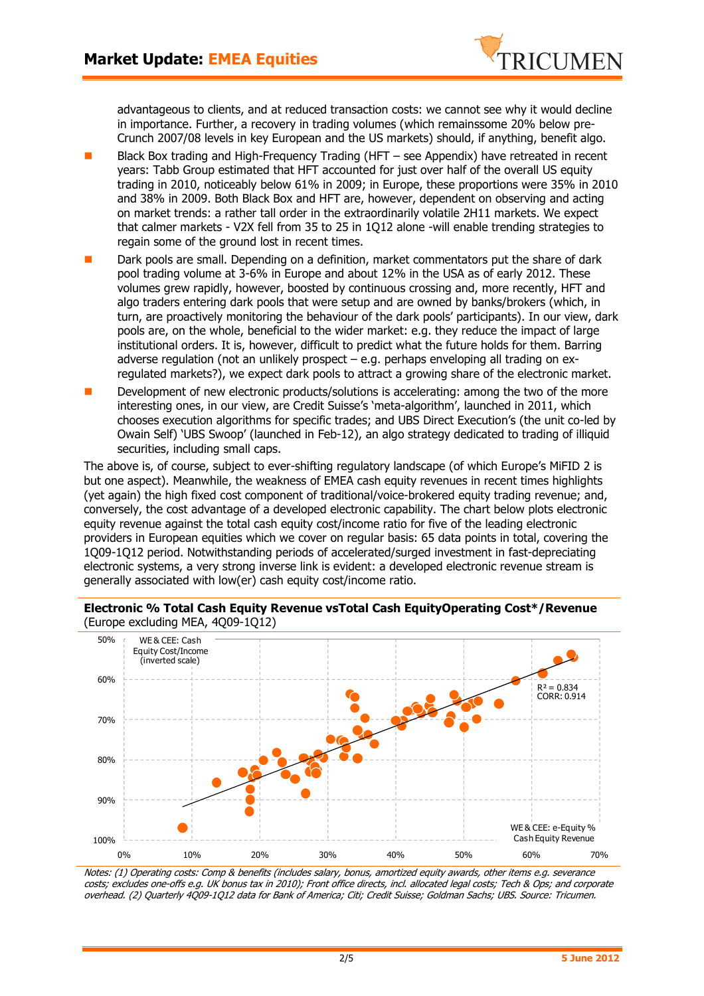

advantageous to clients, and at reduced transaction costs: we cannot see why it would decline in importance. Further, a recovery in trading volumes (which remainssome 20% below pre-Crunch 2007/08 levels in key European and the US markets) should, if anything, benefit algo.

- Black Box trading and High-Frequency Trading (HFT see Appendix) have retreated in recent years: Tabb Group estimated that HFT accounted for just over half of the overall US equity trading in 2010, noticeably below 61% in 2009; in Europe, these proportions were 35% in 2010 and 38% in 2009. Both Black Box and HFT are, however, dependent on observing and acting on market trends: a rather tall order in the extraordinarily volatile 2H11 markets. We expect that calmer markets - V2X fell from 35 to 25 in 1Q12 alone -will enable trending strategies to regain some of the ground lost in recent times.
- Dark pools are small. Depending on a definition, market commentators put the share of dark pool trading volume at 3-6% in Europe and about 12% in the USA as of early 2012. These volumes grew rapidly, however, boosted by continuous crossing and, more recently, HFT and algo traders entering dark pools that were setup and are owned by banks/brokers (which, in turn, are proactively monitoring the behaviour of the dark pools' participants). In our view, dark pools are, on the whole, beneficial to the wider market: e.g. they reduce the impact of large institutional orders. It is, however, difficult to predict what the future holds for them. Barring adverse regulation (not an unlikely prospect – e.g. perhaps enveloping all trading on exregulated markets?), we expect dark pools to attract a growing share of the electronic market.
- Development of new electronic products/solutions is accelerating: among the two of the more interesting ones, in our view, are Credit Suisse's 'meta-algorithm', launched in 2011, which chooses execution algorithms for specific trades; and UBS Direct Execution's (the unit co-led by Owain Self) 'UBS Swoop' (launched in Feb-12), an algo strategy dedicated to trading of illiquid securities, including small caps.

The above is, of course, subject to ever-shifting regulatory landscape (of which Europe's MiFID 2 is but one aspect). Meanwhile, the weakness of EMEA cash equity revenues in recent times highlights (yet again) the high fixed cost component of traditional/voice-brokered equity trading revenue; and, conversely, the cost advantage of a developed electronic capability. The chart below plots electronic equity revenue against the total cash equity cost/income ratio for five of the leading electronic providers in European equities which we cover on regular basis: 65 data points in total, covering the 1Q09-1Q12 period. Notwithstanding periods of accelerated/surged investment in fast-depreciating electronic systems, a very strong inverse link is evident: a developed electronic revenue stream is generally associated with low(er) cash equity cost/income ratio.

**Electronic % Total Cash Equity Revenue vsTotal Cash EquityOperating Cost\*/Revenue**  (Europe excluding MEA, 4Q09-1Q12)



Notes: (1) Operating costs: Comp & benefits (includes salary, bonus, amortized equity awards, other items e.g. severance costs; excludes one-offs e.g. UK bonus tax in 2010); Front office directs, incl. allocated legal costs; Tech & Ops; and corporate overhead. (2) Quarterly 4Q09-1Q12 data for Bank of America; Citi; Credit Suisse; Goldman Sachs; UBS. Source: Tricumen.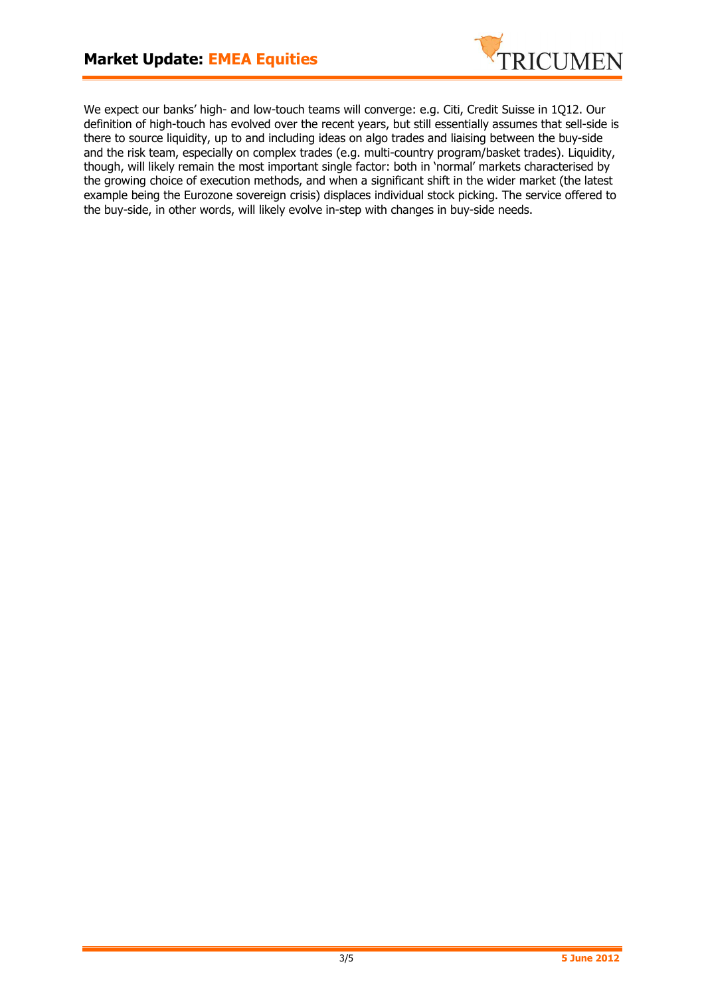

We expect our banks' high- and low-touch teams will converge: e.g. Citi, Credit Suisse in 1Q12. Our definition of high-touch has evolved over the recent years, but still essentially assumes that sell-side is there to source liquidity, up to and including ideas on algo trades and liaising between the buy-side and the risk team, especially on complex trades (e.g. multi-country program/basket trades). Liquidity, though, will likely remain the most important single factor: both in 'normal' markets characterised by the growing choice of execution methods, and when a significant shift in the wider market (the latest example being the Eurozone sovereign crisis) displaces individual stock picking. The service offered to the buy-side, in other words, will likely evolve in-step with changes in buy-side needs.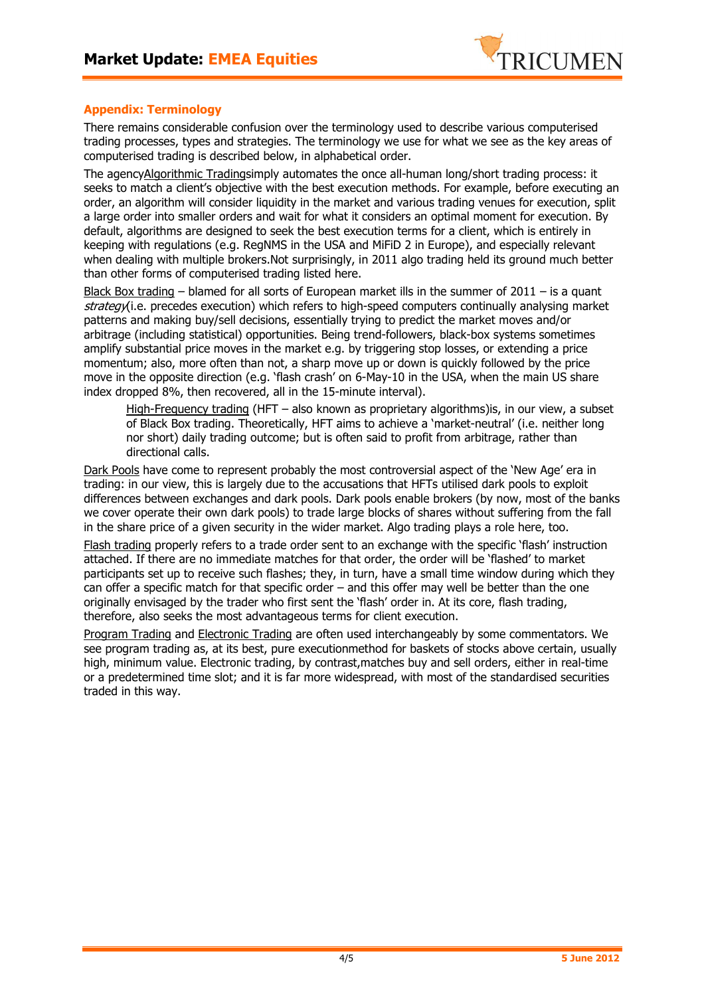

# **Appendix: Terminology**

There remains considerable confusion over the terminology used to describe various computerised trading processes, types and strategies. The terminology we use for what we see as the key areas of computerised trading is described below, in alphabetical order.

The agencyAlgorithmic Tradingsimply automates the once all-human long/short trading process: it seeks to match a client's objective with the best execution methods. For example, before executing an order, an algorithm will consider liquidity in the market and various trading venues for execution, split a large order into smaller orders and wait for what it considers an optimal moment for execution. By default, algorithms are designed to seek the best execution terms for a client, which is entirely in keeping with regulations (e.g. RegNMS in the USA and MiFiD 2 in Europe), and especially relevant when dealing with multiple brokers.Not surprisingly, in 2011 algo trading held its ground much better than other forms of computerised trading listed here.

Black Box trading – blamed for all sorts of European market ills in the summer of  $2011 -$  is a quant strategy(i.e. precedes execution) which refers to high-speed computers continually analysing market patterns and making buy/sell decisions, essentially trying to predict the market moves and/or arbitrage (including statistical) opportunities. Being trend-followers, black-box systems sometimes amplify substantial price moves in the market e.g. by triggering stop losses, or extending a price momentum; also, more often than not, a sharp move up or down is quickly followed by the price move in the opposite direction (e.g. 'flash crash' on 6-May-10 in the USA, when the main US share index dropped 8%, then recovered, all in the 15-minute interval).

High-Frequency trading (HFT – also known as proprietary algorithms)is, in our view, a subset of Black Box trading. Theoretically, HFT aims to achieve a 'market-neutral' (i.e. neither long nor short) daily trading outcome; but is often said to profit from arbitrage, rather than directional calls.

Dark Pools have come to represent probably the most controversial aspect of the 'New Age' era in trading: in our view, this is largely due to the accusations that HFTs utilised dark pools to exploit differences between exchanges and dark pools. Dark pools enable brokers (by now, most of the banks we cover operate their own dark pools) to trade large blocks of shares without suffering from the fall in the share price of a given security in the wider market. Algo trading plays a role here, too.

Flash trading properly refers to a trade order sent to an exchange with the specific 'flash' instruction attached. If there are no immediate matches for that order, the order will be 'flashed' to market participants set up to receive such flashes; they, in turn, have a small time window during which they can offer a specific match for that specific order – and this offer may well be better than the one originally envisaged by the trader who first sent the 'flash' order in. At its core, flash trading, therefore, also seeks the most advantageous terms for client execution.

Program Trading and Electronic Trading are often used interchangeably by some commentators. We see program trading as, at its best, pure executionmethod for baskets of stocks above certain, usually high, minimum value. Electronic trading, by contrast,matches buy and sell orders, either in real-time or a predetermined time slot; and it is far more widespread, with most of the standardised securities traded in this way.